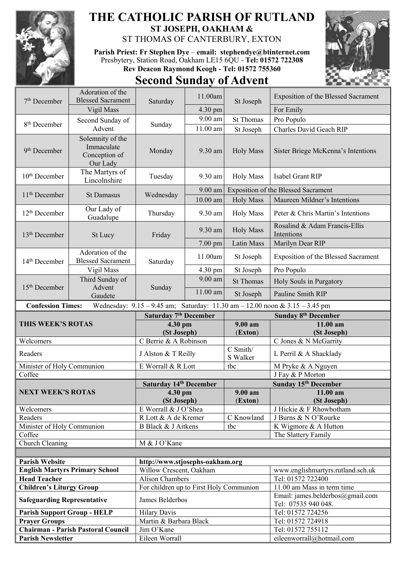

## **THE CATHOLIC PARISH OF RUTLAND ST JOSEPH, OAKHAM &**

ST THOMAS OF CANTERBURY, EXTON

**Parish Priest: Fr Stephen Dye** – **[email: stephendye@btinternet.com](mailto:email:%20%20stephendye@btinternet.com)** Presbytery, Station Road, Oakham LE15 6QU - **Tel: 01572 722308 Rev Deacon Raymond Keogh - Tel: 01572 755360**

## **Second Sunday of Advent**



| $7th$ December                                                                                          | Adoration of the<br><b>Blessed Sacrament</b> | Saturday                                | 11.00am    | St Joseph                           | Exposition of the Blessed Sacrament                     |  |
|---------------------------------------------------------------------------------------------------------|----------------------------------------------|-----------------------------------------|------------|-------------------------------------|---------------------------------------------------------|--|
|                                                                                                         | Vigil Mass                                   |                                         | 4.30 pm    |                                     | For Emily                                               |  |
|                                                                                                         | Second Sunday of                             |                                         | 9.00 am    | <b>St Thomas</b>                    | Pro Populo                                              |  |
| 8 <sup>th</sup> December                                                                                | Advent                                       | Sunday                                  | 11.00 am   | St Joseph                           | Charles David Geach RIP                                 |  |
|                                                                                                         | Solemnity of the                             |                                         |            |                                     |                                                         |  |
| 9 <sup>th</sup> December                                                                                | Immaculate<br>Conception of<br>Our Lady      | Monday                                  | 9.30 am    | <b>Holy Mass</b>                    | Sister Briege McKenna's Intentions                      |  |
| 10 <sup>th</sup> December                                                                               | The Martyrs of<br>Lincolnshire               | Tuesday                                 | 9.30 am    | <b>Holy Mass</b>                    | Isabel Grant RIP                                        |  |
| 11 <sup>th</sup> December                                                                               | <b>St Damasus</b>                            | Wednesday                               | 9.00 am    | Exposition of the Blessed Sacrament |                                                         |  |
|                                                                                                         |                                              |                                         | $10.00$ am | <b>Holy Mass</b>                    | Maureen Mildner's Intentions                            |  |
| 12 <sup>th</sup> December                                                                               | Our Lady of<br>Guadalupe                     | Thursday                                | 9.30 am    | <b>Holy Mass</b>                    | Peter & Chris Martin's Intentions                       |  |
| $13th$ December                                                                                         | St Lucy                                      | Friday                                  | 9.30 am    | <b>Holy Mass</b>                    | Rosalind & Adam Francis-Ellis<br>Intentions             |  |
|                                                                                                         |                                              |                                         | $7.00$ pm  | Latin Mass                          | Marilyn Dear RIP                                        |  |
| 14 <sup>th</sup> December                                                                               | Adoration of the<br><b>Blessed Sacrament</b> | Saturday                                | 11.00am    | St Joseph                           | Exposition of the Blessed Sacrament                     |  |
|                                                                                                         | Vigil Mass                                   |                                         | 4.30 pm    | St Joseph                           | Pro Populo                                              |  |
| 15 <sup>th</sup> December                                                                               | Third Sunday of                              | Sunday                                  | $9.00$ am  | <b>St Thomas</b>                    | Holy Souls in Purgatory                                 |  |
|                                                                                                         | Advent<br>Gaudete                            |                                         | 11.00 am   | St Joseph                           | Pauline Smith RIP                                       |  |
| <b>Confession Times:</b><br>Wednesday: 9.15 - 9.45 am; Saturday: 11.30 am - 12.00 noon & 3.15 - 3.45 pm |                                              |                                         |            |                                     |                                                         |  |
| Saturday 7 <sup>th</sup> December                                                                       |                                              |                                         |            |                                     |                                                         |  |
|                                                                                                         |                                              |                                         |            |                                     |                                                         |  |
| THIS WEEK'S ROTAS                                                                                       |                                              |                                         |            | 9.00 am                             | <b>Sunday 8th December</b><br>11.00 am                  |  |
|                                                                                                         |                                              | 4.30 pm<br>(St Joseph)                  |            | (Exton)                             | (St Joseph)                                             |  |
| Welcomers                                                                                               |                                              | C Berrie & A Robinson                   |            |                                     | C Jones & N McGarrity                                   |  |
| Readers                                                                                                 |                                              | J Alston & T Reilly                     |            | C Smith/<br>S Walker                | L Perril & A Shacklady                                  |  |
| Minister of Holy Communion                                                                              |                                              | E Worrall & R Lott                      |            | tbc                                 | M Pryke & A Nguyen                                      |  |
| Coffee                                                                                                  |                                              |                                         |            |                                     | J Fay & P Morton                                        |  |
|                                                                                                         |                                              | Saturday 14th December                  |            |                                     | Sunday 15th December                                    |  |
| NEXT WEEK'S ROTAS                                                                                       |                                              | $4.30 \text{ pm}$                       |            | 9.00 am                             | 11.00 am                                                |  |
|                                                                                                         |                                              | (St Joseph)                             |            | (Exton)                             | (St Joseph)                                             |  |
| Welcomers                                                                                               |                                              | E Worrall & J O'Shea                    |            |                                     | J Hickie & F Rhowbotham                                 |  |
| Readers                                                                                                 |                                              | R Lott & A de Kremer                    |            | C Knowland                          | J Burns & N O'Rourke                                    |  |
| Minister of Holy Communion                                                                              |                                              | B Black & J Aitkens                     |            | tbc                                 | K Wigmore & A Hutton                                    |  |
| Coffee                                                                                                  |                                              |                                         |            |                                     | The Slattery Family                                     |  |
| Church Cleaning                                                                                         |                                              | M & J O'Kane                            |            |                                     |                                                         |  |
|                                                                                                         |                                              |                                         |            |                                     |                                                         |  |
| <b>Parish Website</b>                                                                                   |                                              | http://www.stjosephs-oakham.org         |            |                                     |                                                         |  |
|                                                                                                         | <b>English Martyrs Primary School</b>        | Willow Crescent, Oakham                 |            |                                     | www.englishmartyrs.rutland.sch.uk                       |  |
| <b>Head Teacher</b>                                                                                     |                                              | <b>Alison Chambers</b>                  |            |                                     | Tel: 01572 722400                                       |  |
| <b>Children's Liturgy Group</b>                                                                         |                                              | For children up to First Holy Communion |            |                                     | 11.00 am Mass in term time                              |  |
| <b>Safeguarding Representative</b>                                                                      |                                              | James Belderbos                         |            |                                     | Email: james.belderbos@gmail.com<br>Tel: 07535 940 048. |  |
| <b>Parish Support Group - HELP</b>                                                                      |                                              | <b>Hilary Davis</b>                     |            |                                     | Tel: 01572 724256                                       |  |
| <b>Prayer Groups</b>                                                                                    |                                              | Martin & Barbara Black                  |            |                                     | Tel: 01572 724918                                       |  |
| <b>Parish Newsletter</b>                                                                                | <b>Chairman - Parish Pastoral Council</b>    | Jim O'Kane<br>Eileen Worrall            |            |                                     | Tel: 01572 755112<br>eileenworrall@hotmail.com          |  |